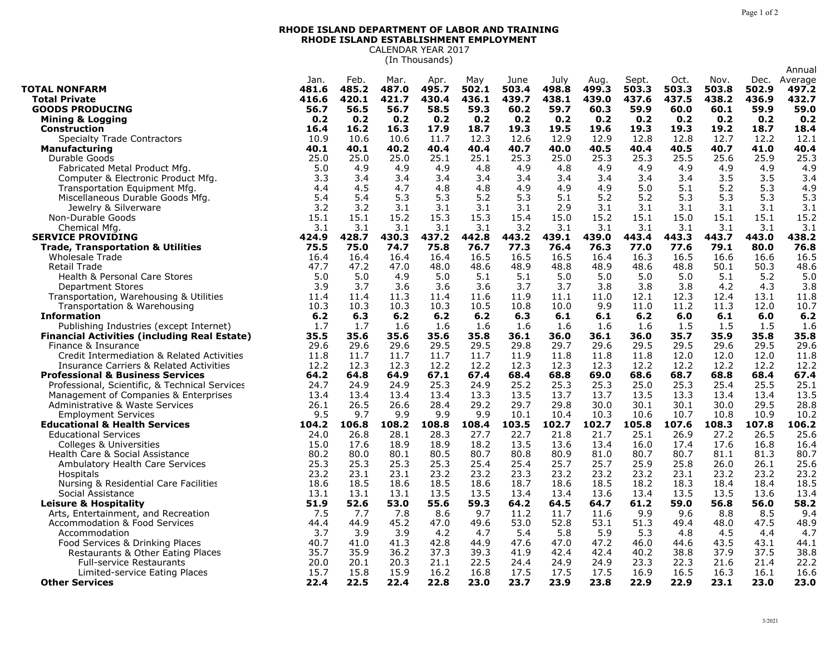Annual

## **RHODE ISLAND DEPARTMENT OF LABOR AND TRAINING RHODE ISLAND ESTABLISHMENT EMPLOYMENT** CALENDAR YEAR 2017

(In Thousands)

|                                                                         | Jan.         | Feb.        | Mar.         | Apr.         | May         | June         | July         | Aug.          | Sept.         | Oct.         | Nov.          | Dec.          | Average       |
|-------------------------------------------------------------------------|--------------|-------------|--------------|--------------|-------------|--------------|--------------|---------------|---------------|--------------|---------------|---------------|---------------|
| <b>TOTAL NONFARM</b>                                                    | 481.6        | 485.2       | 487.0        | 495.7        | 502.1       | 503.4        | 498.8        | 499.3         | 503.3         | 503.3        | 503.8         | 502.9         | 497.2         |
| <b>Total Private</b>                                                    | 416.6        | 420.1       | 421.7        | 430.4        | 436.1       | 439.7        | 438.1        | 439.0         | 437.6         | 437.5        | 438.2         | 436.9         | 432.7         |
| <b>GOODS PRODUCING</b>                                                  | 56.7         | 56.5        | 56.7         | 58.5         | 59.3        | 60.2         | 59.7         | 60.3          | 59.9          | 60.0         | 60.1          | 59.9          | 59.0          |
| <b>Mining &amp; Logging</b>                                             | 0.2          | 0.2         | 0.2          | 0.2          | 0.2         | 0.2          | 0.2          | 0.2           | 0.2           | 0.2          | 0.2           | 0.2           | 0.2           |
| <b>Construction</b>                                                     | 16.4         | 16.2        | 16.3         | 17.9         | 18.7        | 19.3         | 19.5         | 19.6          | 19.3          | 19.3         | 19.2          | 18.7          | 18.4          |
| <b>Specialty Trade Contractors</b>                                      | 10.9         | 10.6        | 10.6         | 11.7         | 12.3        | 12.6         | 12.9         | 12.9          | 12.8          | 12.8         | 12.7          | 12.2          | 12.1          |
| <b>Manufacturing</b>                                                    | 40.1         | 40.1        | 40.2         | 40.4         | 40.4        | 40.7         | 40.0         | 40.5          | 40.4          | 40.5         | 40.7          | 41.0          | 40.4          |
| Durable Goods                                                           | 25.0         | 25.0        | 25.0         | 25.1         | 25.1        | 25.3         | 25.0         | 25.3          | 25.3          | 25.5         | 25.6          | 25.9          | 25.3          |
| Fabricated Metal Product Mfg.                                           | 5.0          | 4.9         | 4.9          | 4.9          | 4.8         | 4.9          | 4.8          | 4.9           | 4.9           | 4.9          | 4.9           | 4.9           | 4.9           |
| Computer & Electronic Product Mfg.                                      | 3.3          | 3.4         | 3.4          | 3.4          | 3.4         | 3.4          | 3.4          | 3.4           | 3.4           | 3.4          | 3.5           | 3.5           | 3.4           |
| Transportation Equipment Mfg.                                           | 4.4          | 4.5         | 4.7          | 4.8          | 4.8         | 4.9          | 4.9          | 4.9           | 5.0           | 5.1          | 5.2           | 5.3           | 4.9           |
| Miscellaneous Durable Goods Mfg.                                        | 5.4          | 5.4         | 5.3          | 5.3          | 5.2         | 5.3          | 5.1          | 5.2           | 5.2           | 5.3          | 5.3           | 5.3           | 5.3           |
| Jewelry & Silverware                                                    | 3.2          | 3.2         | 3.1          | 3.1          | 3.1         | 3.1          | 2.9          | 3.1           | 3.1           | 3.1          | 3.1           | 3.1           | 3.1           |
| Non-Durable Goods                                                       | 15.1         | 15.1        | 15.2         | 15.3         | 15.3        | 15.4         | 15.0         | 15.2          | 15.1          | 15.0         | 15.1          | 15.1          | 15.2          |
| Chemical Mfg.                                                           | 3.1          | 3.1         | 3.1          | 3.1          | 3.1         | 3.2          | 3.1          | 3.1           | 3.1           | 3.1          | 3.1           | 3.1           | 3.1           |
| <b>SERVICE PROVIDING</b>                                                | 424.9        | 428.7       | 430.3        | 437.2        | 442.8       | 443.2        | 439.1        | 439.0         | 443.4         | 443.3        | 443.7         | 443.0         | 438.2         |
| <b>Trade, Transportation &amp; Utilities</b>                            | 75.5         | 75.0        | 74.7         | 75.8         | 76.7        | 77.3         | 76.4         | 76.3          | 77.0          | 77.6         | 79.1          | 80.0          | 76.8          |
| Wholesale Trade                                                         | 16.4         | 16.4        | 16.4         | 16.4         | 16.5        | 16.5         | 16.5         | 16.4          | 16.3          | 16.5         | 16.6          | 16.6          | 16.5          |
| Retail Trade                                                            | 47.7         | 47.2        | 47.0         | 48.0         | 48.6        | 48.9         | 48.8         | 48.9          | 48.6          | 48.8         | 50.1          | 50.3          | 48.6          |
| Health & Personal Care Stores                                           | 5.0          | 5.0         | 4.9          | 5.0          | 5.1         | 5.1          | 5.0          | 5.0           | 5.0           | 5.0          | 5.1           | 5.2           | 5.0           |
| Department Stores                                                       | 3.9          | 3.7         | 3.6          | 3.6          | 3.6         | 3.7          | 3.7          | 3.8           | 3.8           | 3.8          | 4.2           | 4.3           | 3.8           |
| Transportation, Warehousing & Utilities                                 | 11.4         | 11.4        | 11.3         | 11.4         | 11.6        | 11.9         | 11.1         | 11.0          | 12.1          | 12.3         | 12.4          | 13.1          | 11.8          |
| Transportation & Warehousing                                            | 10.3         | 10.3        | 10.3         | 10.3         | 10.5        | 10.8         | 10.0         | 9.9           | 11.0          | 11.2         | 11.3          | 12.0          | 10.7          |
| <b>Information</b>                                                      | 6.2          | 6.3         | 6.2          | $6.2$        | 6.2         | 6.3          | 6.1          | 6.1           | 6.2           | 6.0          | 6.1           | 6.0           | 6.2           |
| Publishing Industries (except Internet)                                 | 1.7          | 1.7         | 1.6          | 1.6          | 1.6         | 1.6          | 1.6          | 1.6           | 1.6           | 1.5          | 1.5           | 1.5           | 1.6           |
| <b>Financial Activities (including Real Estate)</b>                     | 35.5         | 35.6        | 35.6         | 35.6         | 35.8        | 36.1         | 36.0         | 36.1          | 36.0          | 35.7         | 35.9          | 35.8          | 35.8          |
| Finance & Insurance                                                     | 29.6         | 29.6        | 29.6         | 29.5         | 29.5        | 29.8         | 29.7         | 29.6          | 29.5          | 29.5         | 29.6          | 29.5          | 29.6          |
| Credit Intermediation & Related Activities                              | 11.8         | 11.7        | 11.7         | 11.7         | 11.7        | 11.9         | 11.8         | 11.8          | 11.8          | 12.0         | 12.0          | 12.0          | 11.8          |
| Insurance Carriers & Related Activities                                 | 12.2         | 12.3        | 12.3         | 12.2         | 12.2        | 12.3         | 12.3         | 12.3          | 12.2          | 12.2         | 12.2          | 12.2          | 12.2          |
| <b>Professional &amp; Business Services</b>                             | 64.2         | 64.8        | 64.9         | 67.1         | 67.4        | 68.4         | 68.8         | 69.0          | 68.6          | 68.7         | 68.8          | 68.4          | 67.4          |
| Professional, Scientific, & Technical Services                          | 24.7         | 24.9        | 24.9<br>13.4 | 25.3<br>13.4 | 24.9        | 25.2         | 25.3         | 25.3<br>13.7  | 25.0<br>13.5  | 25.3         | 25.4<br>13.4  | 25.5<br>13.4  | 25.1          |
| Management of Companies & Enterprises                                   | 13.4         | 13.4        |              |              | 13.3        | 13.5         | 13.7         |               |               | 13.3         |               |               | 13.5          |
| Administrative & Waste Services                                         | 26.1         | 26.5<br>9.7 | 26.6         | 28.4<br>9.9  | 29.2<br>9.9 | 29.7<br>10.1 | 29.8<br>10.4 | 30.0          | 30.1          | 30.1<br>10.7 | 30.0          | 29.5          | 28.8          |
| <b>Employment Services</b>                                              | 9.5<br>104.2 | 106.8       | 9.9<br>108.2 | 108.8        | 108.4       | 103.5        | 102.7        | 10.3<br>102.7 | 10.6<br>105.8 | 107.6        | 10.8<br>108.3 | 10.9<br>107.8 | 10.2<br>106.2 |
| <b>Educational &amp; Health Services</b><br><b>Educational Services</b> | 24.0         | 26.8        | 28.1         | 28.3         | 27.7        | 22.7         | 21.8         | 21.7          | 25.1          | 26.9         | 27.2          | 26.5          | 25.6          |
| Colleges & Universities                                                 | 15.0         | 17.6        | 18.9         | 18.9         | 18.2        | 13.5         | 13.6         | 13.4          | 16.0          | 17.4         | 17.6          | 16.8          | 16.4          |
| Health Care & Social Assistance                                         | 80.2         | 80.0        | 80.1         | 80.5         | 80.7        | 80.8         | 80.9         | 81.0          | 80.7          | 80.7         | 81.1          | 81.3          | 80.7          |
| <b>Ambulatory Health Care Services</b>                                  | 25.3         | 25.3        | 25.3         | 25.3         | 25.4        | 25.4         | 25.7         | 25.7          | 25.9          | 25.8         | 26.0          | 26.1          | 25.6          |
| Hospitals                                                               | 23.2         | 23.1        | 23.1         | 23.2         | 23.2        | 23.3         | 23.2         | 23.2          | 23.2          | 23.1         | 23.2          | 23.2          | 23.2          |
| Nursing & Residential Care Facilities                                   | 18.6         | 18.5        | 18.6         | 18.5         | 18.6        | 18.7         | 18.6         | 18.5          | 18.2          | 18.3         | 18.4          | 18.4          | 18.5          |
| Social Assistance                                                       | 13.1         | 13.1        | 13.1         | 13.5         | 13.5        | 13.4         | 13.4         | 13.6          | 13.4          | 13.5         | 13.5          | 13.6          | 13.4          |
| <b>Leisure &amp; Hospitality</b>                                        | 51.9         | 52.6        | 53.0         | 55.6         | 59.3        | 64.2         | 64.5         | 64.7          | 61.2          | 59.0         | 56.8          | 56.0          | 58.2          |
| Arts, Entertainment, and Recreation                                     | 7.5          | 7.7         | 7.8          | 8.6          | 9.7         | 11.2         | 11.7         | 11.6          | 9.9           | 9.6          | 8.8           | 8.5           | 9.4           |
| <b>Accommodation &amp; Food Services</b>                                | 44.4         | 44.9        | 45.2         | 47.0         | 49.6        | 53.0         | 52.8         | 53.1          | 51.3          | 49.4         | 48.0          | 47.5          | 48.9          |
| Accommodation                                                           | 3.7          | 3.9         | 3.9          | 4.2          | 4.7         | 5.4          | 5.8          | 5.9           | 5.3           | 4.8          | 4.5           | 4.4           | 4.7           |
| Food Services & Drinking Places                                         | 40.7         | 41.0        | 41.3         | 42.8         | 44.9        | 47.6         | 47.0         | 47.2          | 46.0          | 44.6         | 43.5          | 43.1          | 44.1          |
| Restaurants & Other Eating Places                                       | 35.7         | 35.9        | 36.2         | 37.3         | 39.3        | 41.9         | 42.4         | 42.4          | 40.2          | 38.8         | 37.9          | 37.5          | 38.8          |
| <b>Full-service Restaurants</b>                                         | 20.0         | 20.1        | 20.3         | 21.1         | 22.5        | 24.4         | 24.9         | 24.9          | 23.3          | 22.3         | 21.6          | 21.4          | 22.2          |
| Limited-service Eating Places                                           | 15.7         | 15.8        | 15.9         | 16.2         | 16.8        | 17.5         | 17.5         | 17.5          | 16.9          | 16.5         | 16.3          | 16.1          | 16.6          |
| <b>Other Services</b>                                                   | 22.4         | 22.5        | 22.4         | 22.8         | 23.0        | 23.7         | 23.9         | 23.8          | 22.9          | 22.9         | 23.1          | 23.0          | 23.0          |